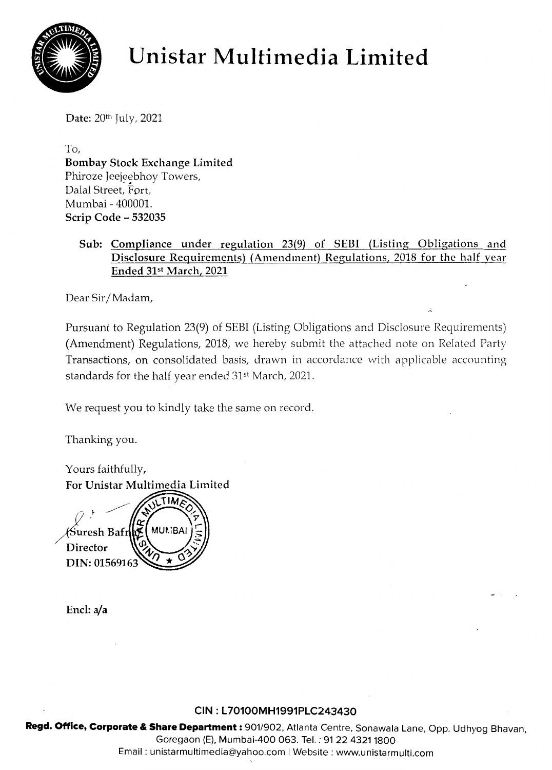

# **Unistar Multimedia Limited**

Date: 20th July, 2021

To, Bombay Stock Exchange Limited Phiroze Jeejeebhoy Towers, r niroze jeejeeme<br>Dalal Street, Fort, Mumbai - 400001. Scrip Code - 532035

## Sub: Compliance under regulation 23(9) of SEBI (Listing Obligations and Disclosure Requirements) (Amendment) Regulations, 2018 for the half year Ended 31st March, 2021

Dear Sir/Madam,

Pursuant to Regulation 23(9) of SEBI (Listing Obligations and Disclosure Requirements) (Amendment) Regulations, 2018, we hereby submit the attached note on Related Party Transactions, on consolidated basis, drawn in accordance with applicable accounting standards for the half year ended 31st March, 2021.

We request you to kindly take the same on record.

Thanking you.

Yours faithfully, For Unistar Multimedia Limited ∕Suresh Bafr **Director** DIN: 0156916

Encl: a/a

## **CIN : l70100MH1991PlC243430**

Regd. Office, Corporate & Share Department: 901/902, Atlanta Centre, Sonawala Lane, Opp. Udhyog Bhavan, Goregaon (E), Mumbai-400 063. Tel. : 91 22 43211800 Email: unistarmultimedia@yahoo.com I Website: www.unistarmulti.com